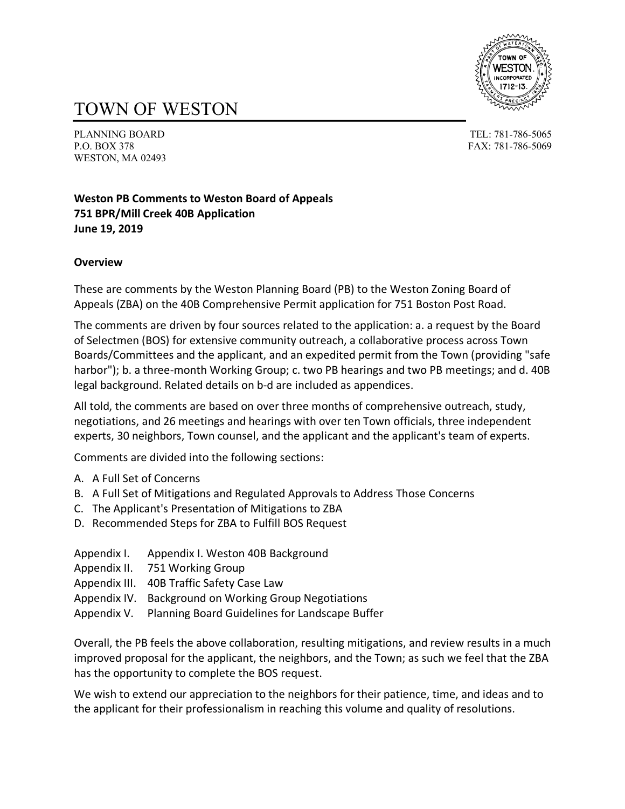

# TOWN OF WESTON

PLANNING BOARD TEL: 781-786-5065 P.O. BOX 378 FAX: 781-786-5069 WESTON, MA 02493

## **Weston PB Comments to Weston Board of Appeals 751 BPR/Mill Creek 40B Application June 19, 2019**

#### **Overview**

These are comments by the Weston Planning Board (PB) to the Weston Zoning Board of Appeals (ZBA) on the 40B Comprehensive Permit application for 751 Boston Post Road.

The comments are driven by four sources related to the application: a. a request by the Board of Selectmen (BOS) for extensive community outreach, a collaborative process across Town Boards/Committees and the applicant, and an expedited permit from the Town (providing "safe harbor"); b. a three-month Working Group; c. two PB hearings and two PB meetings; and d. 40B legal background. Related details on b-d are included as appendices.

All told, the comments are based on over three months of comprehensive outreach, study, negotiations, and 26 meetings and hearings with over ten Town officials, three independent experts, 30 neighbors, Town counsel, and the applicant and the applicant's team of experts.

Comments are divided into the following sections:

- A. A Full Set of Concerns
- B. A Full Set of Mitigations and Regulated Approvals to Address Those Concerns
- C. The Applicant's Presentation of Mitigations to ZBA
- D. Recommended Steps for ZBA to Fulfill BOS Request
- Appendix I. Appendix I. Weston 40B Background
- Appendix II. 751 Working Group
- Appendix III. 40B Traffic Safety Case Law
- Appendix IV. Background on Working Group Negotiations
- Appendix V. Planning Board Guidelines for Landscape Buffer

Overall, the PB feels the above collaboration, resulting mitigations, and review results in a much improved proposal for the applicant, the neighbors, and the Town; as such we feel that the ZBA has the opportunity to complete the BOS request.

We wish to extend our appreciation to the neighbors for their patience, time, and ideas and to the applicant for their professionalism in reaching this volume and quality of resolutions.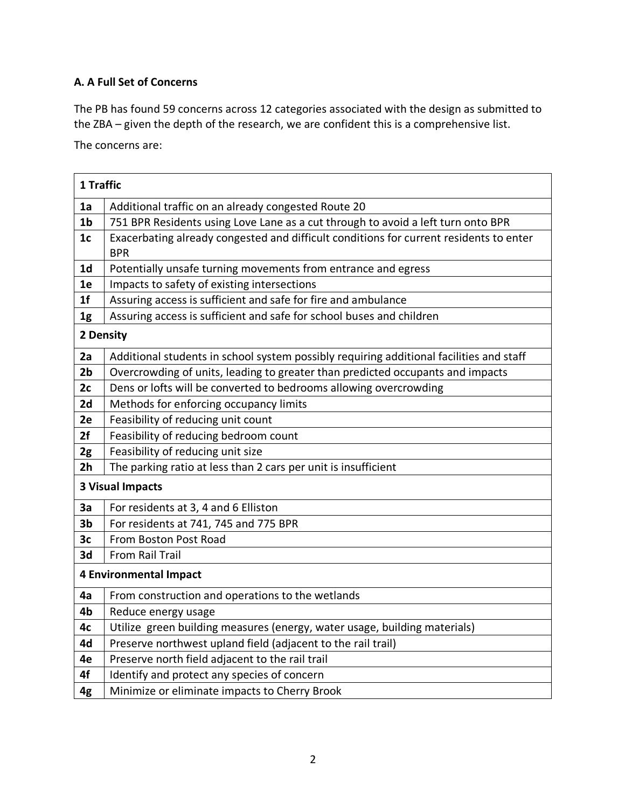# **A. A Full Set of Concerns**

The PB has found 59 concerns across 12 categories associated with the design as submitted to the ZBA – given the depth of the research, we are confident this is a comprehensive list.

The concerns are:

|                | 1 Traffic                                                                               |  |  |  |  |
|----------------|-----------------------------------------------------------------------------------------|--|--|--|--|
| 1a             | Additional traffic on an already congested Route 20                                     |  |  |  |  |
| 1 <sub>b</sub> | 751 BPR Residents using Love Lane as a cut through to avoid a left turn onto BPR        |  |  |  |  |
| 1 <sub>c</sub> | Exacerbating already congested and difficult conditions for current residents to enter  |  |  |  |  |
|                | <b>BPR</b>                                                                              |  |  |  |  |
| 1d             | Potentially unsafe turning movements from entrance and egress                           |  |  |  |  |
| 1e             | Impacts to safety of existing intersections                                             |  |  |  |  |
| 1 <sub>f</sub> | Assuring access is sufficient and safe for fire and ambulance                           |  |  |  |  |
| 1g             | Assuring access is sufficient and safe for school buses and children                    |  |  |  |  |
| 2 Density      |                                                                                         |  |  |  |  |
| 2a             | Additional students in school system possibly requiring additional facilities and staff |  |  |  |  |
| 2 <sub>b</sub> | Overcrowding of units, leading to greater than predicted occupants and impacts          |  |  |  |  |
| 2c             | Dens or lofts will be converted to bedrooms allowing overcrowding                       |  |  |  |  |
| 2d             | Methods for enforcing occupancy limits                                                  |  |  |  |  |
| 2e             | Feasibility of reducing unit count                                                      |  |  |  |  |
| 2f             | Feasibility of reducing bedroom count                                                   |  |  |  |  |
| 2g             | Feasibility of reducing unit size                                                       |  |  |  |  |
| 2 <sub>h</sub> | The parking ratio at less than 2 cars per unit is insufficient                          |  |  |  |  |
|                | <b>3 Visual Impacts</b>                                                                 |  |  |  |  |
| 3a             | For residents at 3, 4 and 6 Elliston                                                    |  |  |  |  |
| 3 <sub>b</sub> | For residents at 741, 745 and 775 BPR                                                   |  |  |  |  |
| 3c             | From Boston Post Road                                                                   |  |  |  |  |
| 3d             | From Rail Trail                                                                         |  |  |  |  |
|                | <b>4 Environmental Impact</b>                                                           |  |  |  |  |
| 4a             | From construction and operations to the wetlands                                        |  |  |  |  |
| 4b             | Reduce energy usage                                                                     |  |  |  |  |
| 4c             | Utilize green building measures (energy, water usage, building materials)               |  |  |  |  |
| 4d             | Preserve northwest upland field (adjacent to the rail trail)                            |  |  |  |  |
| 4e             | Preserve north field adjacent to the rail trail                                         |  |  |  |  |
| 4f             | Identify and protect any species of concern                                             |  |  |  |  |
| 4g             | Minimize or eliminate impacts to Cherry Brook                                           |  |  |  |  |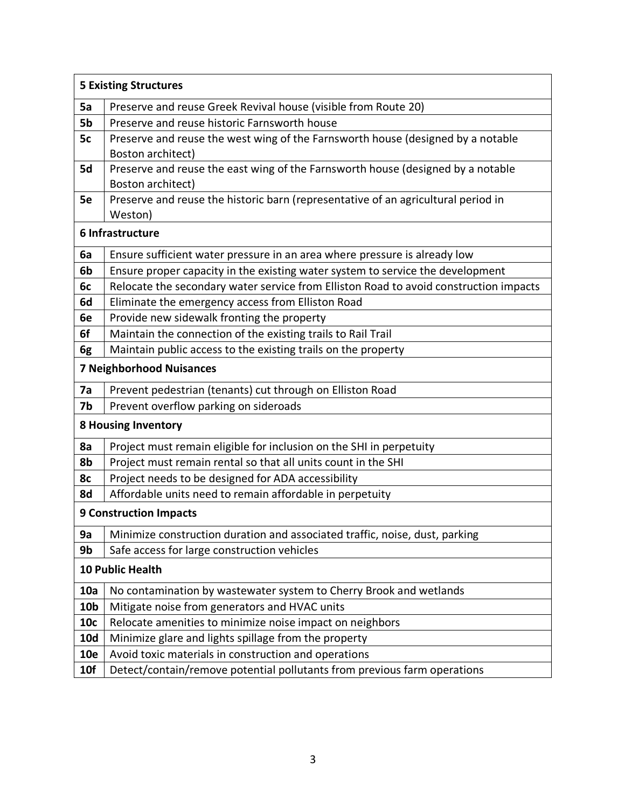|                 | <b>5 Existing Structures</b>                                                          |  |  |  |  |
|-----------------|---------------------------------------------------------------------------------------|--|--|--|--|
| 5a              | Preserve and reuse Greek Revival house (visible from Route 20)                        |  |  |  |  |
| 5b              | Preserve and reuse historic Farnsworth house                                          |  |  |  |  |
| 5c              | Preserve and reuse the west wing of the Farnsworth house (designed by a notable       |  |  |  |  |
|                 | Boston architect)                                                                     |  |  |  |  |
| 5d              | Preserve and reuse the east wing of the Farnsworth house (designed by a notable       |  |  |  |  |
|                 | Boston architect)                                                                     |  |  |  |  |
| 5e              | Preserve and reuse the historic barn (representative of an agricultural period in     |  |  |  |  |
|                 | Weston)                                                                               |  |  |  |  |
|                 | 6 Infrastructure                                                                      |  |  |  |  |
| 6a              | Ensure sufficient water pressure in an area where pressure is already low             |  |  |  |  |
| 6b              | Ensure proper capacity in the existing water system to service the development        |  |  |  |  |
| 6c              | Relocate the secondary water service from Elliston Road to avoid construction impacts |  |  |  |  |
| 6d              | Eliminate the emergency access from Elliston Road                                     |  |  |  |  |
| 6e              | Provide new sidewalk fronting the property                                            |  |  |  |  |
| 6f              | Maintain the connection of the existing trails to Rail Trail                          |  |  |  |  |
| 6g              | Maintain public access to the existing trails on the property                         |  |  |  |  |
|                 | <b>7 Neighborhood Nuisances</b>                                                       |  |  |  |  |
| 7a              | Prevent pedestrian (tenants) cut through on Elliston Road                             |  |  |  |  |
| 7b              | Prevent overflow parking on sideroads                                                 |  |  |  |  |
|                 | <b>8 Housing Inventory</b>                                                            |  |  |  |  |
| 8a              | Project must remain eligible for inclusion on the SHI in perpetuity                   |  |  |  |  |
| 8b              | Project must remain rental so that all units count in the SHI                         |  |  |  |  |
| 8c              | Project needs to be designed for ADA accessibility                                    |  |  |  |  |
| 8d              | Affordable units need to remain affordable in perpetuity                              |  |  |  |  |
|                 | <b>9 Construction Impacts</b>                                                         |  |  |  |  |
| 9a              | Minimize construction duration and associated traffic, noise, dust, parking           |  |  |  |  |
| 9b              | Safe access for large construction vehicles                                           |  |  |  |  |
|                 | 10 Public Health                                                                      |  |  |  |  |
| 10a             | No contamination by wastewater system to Cherry Brook and wetlands                    |  |  |  |  |
| 10 <sub>b</sub> | Mitigate noise from generators and HVAC units                                         |  |  |  |  |
| 10c             | Relocate amenities to minimize noise impact on neighbors                              |  |  |  |  |
| <b>10d</b>      | Minimize glare and lights spillage from the property                                  |  |  |  |  |
| <b>10e</b>      | Avoid toxic materials in construction and operations                                  |  |  |  |  |
| 10f             | Detect/contain/remove potential pollutants from previous farm operations              |  |  |  |  |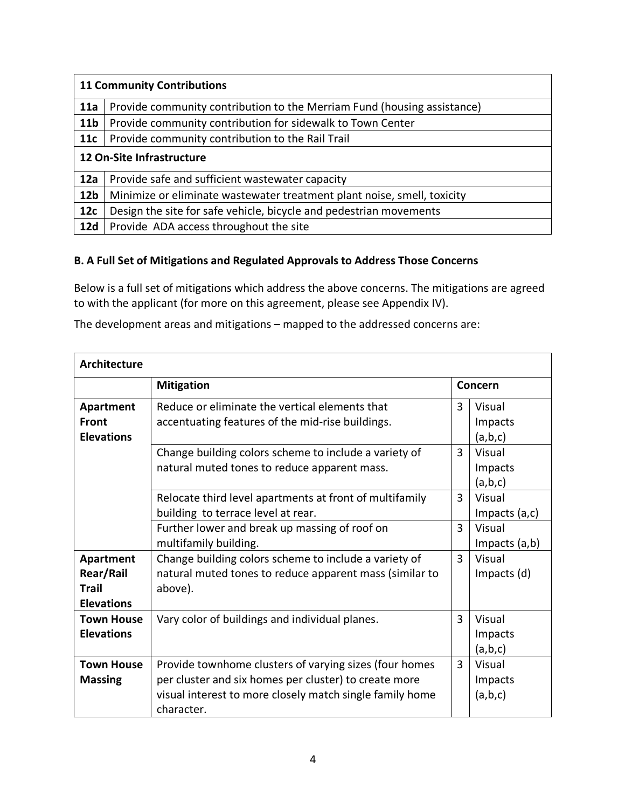| <b>11 Community Contributions</b> |                                                                         |  |  |  |  |
|-----------------------------------|-------------------------------------------------------------------------|--|--|--|--|
| 11a                               | Provide community contribution to the Merriam Fund (housing assistance) |  |  |  |  |
| 11 <sub>b</sub>                   | Provide community contribution for sidewalk to Town Center              |  |  |  |  |
| 11c                               | Provide community contribution to the Rail Trail                        |  |  |  |  |
|                                   | 12 On-Site Infrastructure                                               |  |  |  |  |
| 12a                               | Provide safe and sufficient wastewater capacity                         |  |  |  |  |
| 12 <sub>b</sub>                   | Minimize or eliminate wastewater treatment plant noise, smell, toxicity |  |  |  |  |
| 12 <sub>c</sub>                   | Design the site for safe vehicle, bicycle and pedestrian movements      |  |  |  |  |
| <b>12d</b>                        | Provide ADA access throughout the site                                  |  |  |  |  |

## **B. A Full Set of Mitigations and Regulated Approvals to Address Those Concerns**

Below is a full set of mitigations which address the above concerns. The mitigations are agreed to with the applicant (for more on this agreement, please see Appendix IV).

The development areas and mitigations – mapped to the addressed concerns are:

| <b>Architecture</b>                                                                                                                           |                                                                                                                                                                                           |         |                              |  |  |
|-----------------------------------------------------------------------------------------------------------------------------------------------|-------------------------------------------------------------------------------------------------------------------------------------------------------------------------------------------|---------|------------------------------|--|--|
|                                                                                                                                               | <b>Mitigation</b>                                                                                                                                                                         | Concern |                              |  |  |
| Reduce or eliminate the vertical elements that<br>Apartment<br>Front<br>accentuating features of the mid-rise buildings.<br><b>Elevations</b> |                                                                                                                                                                                           | 3       | Visual<br>Impacts<br>(a,b,c) |  |  |
|                                                                                                                                               | Change building colors scheme to include a variety of<br>natural muted tones to reduce apparent mass.                                                                                     | 3       | Visual<br>Impacts<br>(a,b,c) |  |  |
|                                                                                                                                               | Relocate third level apartments at front of multifamily<br>building to terrace level at rear.                                                                                             | 3       | Visual<br>Impacts $(a, c)$   |  |  |
|                                                                                                                                               | Further lower and break up massing of roof on<br>multifamily building.                                                                                                                    | 3       | Visual<br>Impacts $(a,b)$    |  |  |
| Apartment<br>Rear/Rail<br><b>Trail</b><br><b>Elevations</b>                                                                                   | Change building colors scheme to include a variety of<br>natural muted tones to reduce apparent mass (similar to<br>above).                                                               | 3       | Visual<br>Impacts (d)        |  |  |
| <b>Town House</b><br><b>Elevations</b>                                                                                                        | Vary color of buildings and individual planes.                                                                                                                                            | 3       | Visual<br>Impacts<br>(a,b,c) |  |  |
| <b>Town House</b><br><b>Massing</b>                                                                                                           | Provide townhome clusters of varying sizes (four homes<br>per cluster and six homes per cluster) to create more<br>visual interest to more closely match single family home<br>character. | 3       | Visual<br>Impacts<br>(a,b,c) |  |  |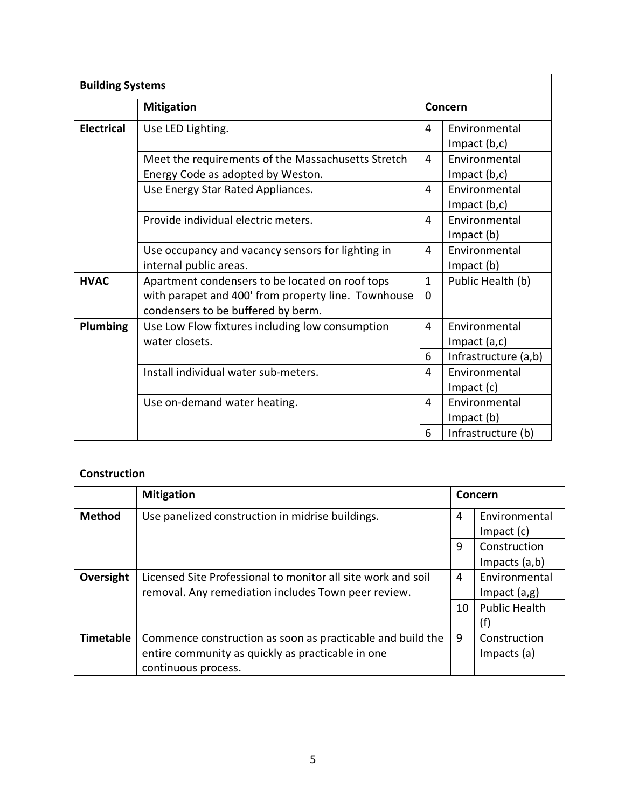| <b>Building Systems</b> |                                                                                                                                              |                          |                                                          |  |  |
|-------------------------|----------------------------------------------------------------------------------------------------------------------------------------------|--------------------------|----------------------------------------------------------|--|--|
|                         | <b>Mitigation</b>                                                                                                                            |                          | Concern                                                  |  |  |
| <b>Electrical</b>       | Use LED Lighting.                                                                                                                            | 4                        | Environmental<br>Impact $(b, c)$                         |  |  |
|                         | Meet the requirements of the Massachusetts Stretch<br>Energy Code as adopted by Weston.                                                      | 4                        | Environmental<br>Impact $(b, c)$                         |  |  |
|                         | Use Energy Star Rated Appliances.                                                                                                            | 4                        | Environmental<br>Impact $(b, c)$                         |  |  |
|                         | Provide individual electric meters.                                                                                                          | 4                        | Environmental<br>$Im$ pact $(b)$                         |  |  |
|                         | Use occupancy and vacancy sensors for lighting in<br>internal public areas.                                                                  | 4                        | Environmental<br>$Im$ pact $(b)$                         |  |  |
| <b>HVAC</b>             | Apartment condensers to be located on roof tops<br>with parapet and 400' from property line. Townhouse<br>condensers to be buffered by berm. | $\mathbf{1}$<br>$\Omega$ | Public Health (b)                                        |  |  |
| <b>Plumbing</b>         | Use Low Flow fixtures including low consumption<br>water closets.                                                                            | 4<br>6                   | Environmental<br>Impact $(a, c)$<br>Infrastructure (a,b) |  |  |
|                         | Install individual water sub-meters.                                                                                                         | 4                        | Environmental<br>$Im$ pact $(c)$                         |  |  |
|                         | Use on-demand water heating.                                                                                                                 | 4                        | Environmental<br>Impact (b)                              |  |  |
|                         |                                                                                                                                              | 6                        | Infrastructure (b)                                       |  |  |

| <b>Construction</b> |                                                                                                                                        |    |                                  |  |  |
|---------------------|----------------------------------------------------------------------------------------------------------------------------------------|----|----------------------------------|--|--|
|                     | <b>Mitigation</b>                                                                                                                      |    | Concern                          |  |  |
| <b>Method</b>       | Use panelized construction in midrise buildings.                                                                                       | 4  | Environmental<br>$Im$ pact $(c)$ |  |  |
|                     |                                                                                                                                        | 9  | Construction<br>Impacts $(a,b)$  |  |  |
| Oversight           | Licensed Site Professional to monitor all site work and soil<br>removal. Any remediation includes Town peer review.                    | 4  | Environmental<br>Impact $(a,g)$  |  |  |
|                     |                                                                                                                                        | 10 | <b>Public Health</b><br>(f)      |  |  |
| <b>Timetable</b>    | Commence construction as soon as practicable and build the<br>entire community as quickly as practicable in one<br>continuous process. | 9  | Construction<br>Impacts (a)      |  |  |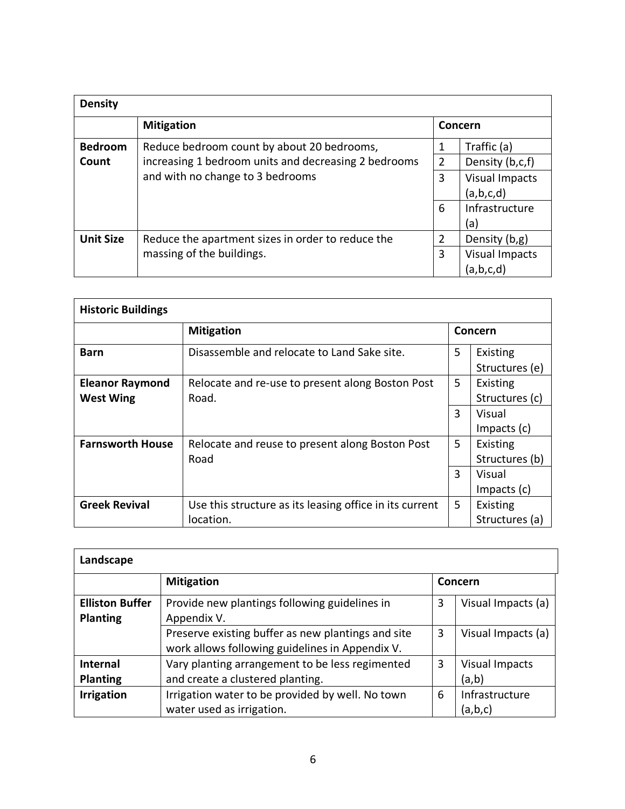| <b>Density</b>   |                                                      |                |                       |  |  |
|------------------|------------------------------------------------------|----------------|-----------------------|--|--|
|                  | <b>Mitigation</b>                                    |                | Concern               |  |  |
| <b>Bedroom</b>   | Reduce bedroom count by about 20 bedrooms,           |                | Traffic (a)           |  |  |
| Count            | increasing 1 bedroom units and decreasing 2 bedrooms | $\overline{2}$ | Density (b,c,f)       |  |  |
|                  | and with no change to 3 bedrooms                     | 3              | <b>Visual Impacts</b> |  |  |
|                  |                                                      |                | (a,b,c,d)             |  |  |
|                  |                                                      | 6              | Infrastructure        |  |  |
|                  |                                                      |                | (a                    |  |  |
| <b>Unit Size</b> | Reduce the apartment sizes in order to reduce the    | 2              | Density (b,g)         |  |  |
|                  | massing of the buildings.                            | 3              | <b>Visual Impacts</b> |  |  |
|                  |                                                      |                | (a,b,c,d)             |  |  |

| <b>Historic Buildings</b>                  |                                                                      |         |                            |  |
|--------------------------------------------|----------------------------------------------------------------------|---------|----------------------------|--|
|                                            | <b>Mitigation</b>                                                    | Concern |                            |  |
| <b>Barn</b>                                | Disassemble and relocate to Land Sake site.                          | 5       | Existing<br>Structures (e) |  |
| <b>Eleanor Raymond</b><br><b>West Wing</b> | Relocate and re-use to present along Boston Post<br>Road.            | 5       | Existing<br>Structures (c) |  |
|                                            |                                                                      | 3       | Visual<br>Impacts $(c)$    |  |
| <b>Farnsworth House</b>                    | Relocate and reuse to present along Boston Post<br>Road              | 5       | Existing<br>Structures (b) |  |
|                                            |                                                                      | 3       | Visual<br>Impacts (c)      |  |
| <b>Greek Revival</b>                       | Use this structure as its leasing office in its current<br>location. | 5       | Existing<br>Structures (a) |  |

| Landscape                                 |                                                                                                       |   |                                |  |  |
|-------------------------------------------|-------------------------------------------------------------------------------------------------------|---|--------------------------------|--|--|
|                                           | <b>Mitigation</b>                                                                                     |   | Concern                        |  |  |
| <b>Elliston Buffer</b><br><b>Planting</b> | Provide new plantings following guidelines in<br>Appendix V.                                          | 3 | Visual Impacts (a)             |  |  |
|                                           | Preserve existing buffer as new plantings and site<br>work allows following guidelines in Appendix V. | 3 | Visual Impacts (a)             |  |  |
| <b>Internal</b><br><b>Planting</b>        | Vary planting arrangement to be less regimented<br>and create a clustered planting.                   | 3 | <b>Visual Impacts</b><br>(a,b) |  |  |
| <b>Irrigation</b>                         | Irrigation water to be provided by well. No town<br>water used as irrigation.                         | 6 | Infrastructure<br>(a,b,c)      |  |  |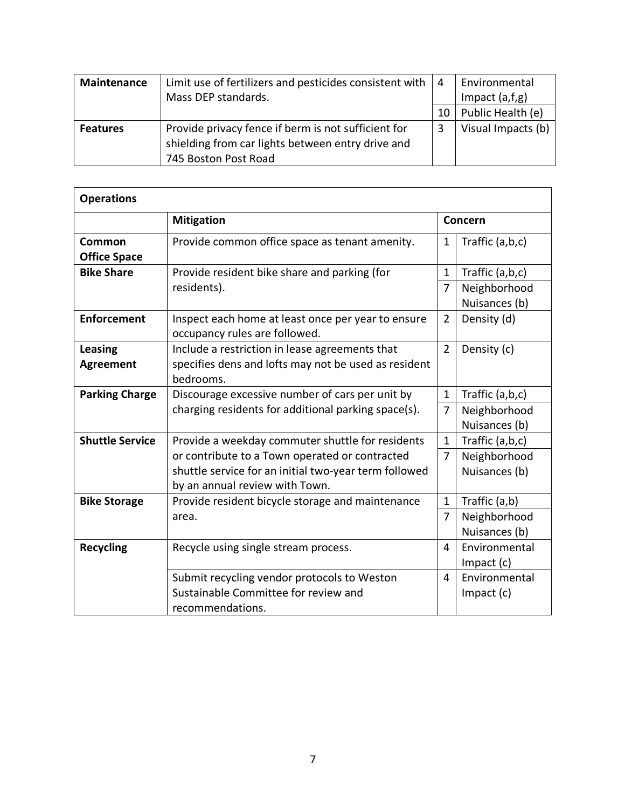| Maintenance     | Limit use of fertilizers and pesticides consistent with<br>Mass DEP standards.                                                   | $\vert 4$ | Environmental<br>Impact $(a,f,g)$ |
|-----------------|----------------------------------------------------------------------------------------------------------------------------------|-----------|-----------------------------------|
|                 |                                                                                                                                  | 10        | Public Health (e)                 |
| <b>Features</b> | Provide privacy fence if berm is not sufficient for<br>shielding from car lights between entry drive and<br>745 Boston Post Road |           | Visual Impacts (b)                |

| <b>Operations</b>                  |                                                                                                                                           |                |                                  |  |  |
|------------------------------------|-------------------------------------------------------------------------------------------------------------------------------------------|----------------|----------------------------------|--|--|
|                                    | <b>Mitigation</b>                                                                                                                         | Concern        |                                  |  |  |
| Common<br><b>Office Space</b>      | Provide common office space as tenant amenity.                                                                                            | 1              | Traffic (a,b,c)                  |  |  |
| <b>Bike Share</b>                  | Provide resident bike share and parking (for                                                                                              | $\mathbf 1$    | Traffic (a,b,c)                  |  |  |
|                                    | residents).                                                                                                                               | $\overline{7}$ | Neighborhood<br>Nuisances (b)    |  |  |
| <b>Enforcement</b>                 | Inspect each home at least once per year to ensure<br>occupancy rules are followed.                                                       | $\overline{2}$ | Density (d)                      |  |  |
| <b>Leasing</b><br><b>Agreement</b> | Include a restriction in lease agreements that<br>specifies dens and lofts may not be used as resident<br>bedrooms.                       | $\overline{2}$ | Density (c)                      |  |  |
| <b>Parking Charge</b>              | Discourage excessive number of cars per unit by                                                                                           | $\mathbf 1$    | Traffic (a,b,c)                  |  |  |
|                                    | charging residents for additional parking space(s).                                                                                       | $\overline{7}$ | Neighborhood<br>Nuisances (b)    |  |  |
| <b>Shuttle Service</b>             | Provide a weekday commuter shuttle for residents                                                                                          | $\mathbf{1}$   | Traffic (a,b,c)                  |  |  |
|                                    | or contribute to a Town operated or contracted<br>shuttle service for an initial two-year term followed<br>by an annual review with Town. | $\overline{7}$ | Neighborhood<br>Nuisances (b)    |  |  |
| <b>Bike Storage</b>                | Provide resident bicycle storage and maintenance                                                                                          | $\mathbf 1$    | Traffic (a,b)                    |  |  |
|                                    | area.                                                                                                                                     | $\overline{7}$ | Neighborhood<br>Nuisances (b)    |  |  |
| <b>Recycling</b>                   | Recycle using single stream process.                                                                                                      | 4              | Environmental<br>$Im$ pact $(c)$ |  |  |
|                                    | Submit recycling vendor protocols to Weston<br>Sustainable Committee for review and<br>recommendations.                                   | 4              | Environmental<br>$Im$ pact $(c)$ |  |  |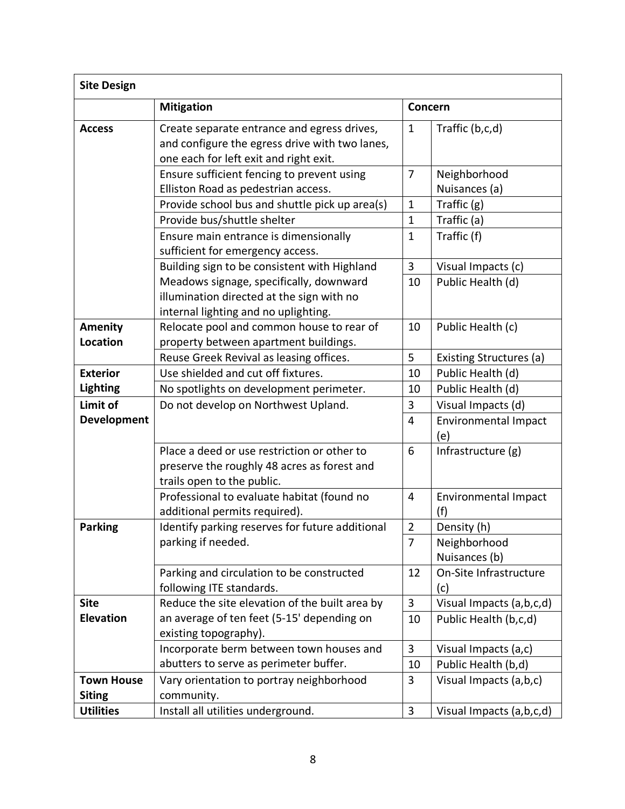| <b>Site Design</b>                 |                                                                                                                                         |                |                                    |  |  |
|------------------------------------|-----------------------------------------------------------------------------------------------------------------------------------------|----------------|------------------------------------|--|--|
|                                    | <b>Mitigation</b>                                                                                                                       | Concern        |                                    |  |  |
| <b>Access</b>                      | Create separate entrance and egress drives,<br>and configure the egress drive with two lanes,<br>one each for left exit and right exit. | $\mathbf{1}$   | Traffic (b,c,d)                    |  |  |
|                                    | Ensure sufficient fencing to prevent using<br>Elliston Road as pedestrian access.                                                       | $\overline{7}$ | Neighborhood<br>Nuisances (a)      |  |  |
|                                    | Provide school bus and shuttle pick up area(s)                                                                                          | $\mathbf{1}$   | Traffic $(g)$                      |  |  |
|                                    | Provide bus/shuttle shelter                                                                                                             | $\mathbf{1}$   | Traffic (a)                        |  |  |
|                                    | Ensure main entrance is dimensionally<br>sufficient for emergency access.                                                               | $\mathbf 1$    | Traffic (f)                        |  |  |
|                                    | Building sign to be consistent with Highland                                                                                            | 3              | Visual Impacts (c)                 |  |  |
|                                    | Meadows signage, specifically, downward<br>illumination directed at the sign with no<br>internal lighting and no uplighting.            | 10             | Public Health (d)                  |  |  |
| <b>Amenity</b>                     | Relocate pool and common house to rear of                                                                                               | 10             | Public Health (c)                  |  |  |
| <b>Location</b>                    | property between apartment buildings.                                                                                                   |                |                                    |  |  |
|                                    | Reuse Greek Revival as leasing offices.                                                                                                 | 5              | Existing Structures (a)            |  |  |
| <b>Exterior</b>                    | Use shielded and cut off fixtures.                                                                                                      | 10             | Public Health (d)                  |  |  |
| <b>Lighting</b>                    | No spotlights on development perimeter.                                                                                                 | 10             | Public Health (d)                  |  |  |
| Limit of                           | Do not develop on Northwest Upland.                                                                                                     | $\overline{3}$ | Visual Impacts (d)                 |  |  |
| <b>Development</b>                 |                                                                                                                                         | 4              | <b>Environmental Impact</b><br>(e) |  |  |
|                                    | Place a deed or use restriction or other to<br>preserve the roughly 48 acres as forest and<br>trails open to the public.                | 6              | Infrastructure (g)                 |  |  |
|                                    | Professional to evaluate habitat (found no<br>additional permits required).                                                             | $\overline{4}$ | <b>Environmental Impact</b><br>(f) |  |  |
| <b>Parking</b>                     | Identify parking reserves for future additional                                                                                         | $\overline{2}$ | Density (h)                        |  |  |
|                                    | parking if needed.                                                                                                                      | $\overline{7}$ | Neighborhood<br>Nuisances (b)      |  |  |
|                                    | Parking and circulation to be constructed<br>following ITE standards.                                                                   | 12             | On-Site Infrastructure<br>(c)      |  |  |
| <b>Site</b>                        | Reduce the site elevation of the built area by                                                                                          | 3              | Visual Impacts (a,b,c,d)           |  |  |
| <b>Elevation</b>                   | an average of ten feet (5-15' depending on<br>existing topography).                                                                     | 10             | Public Health (b,c,d)              |  |  |
|                                    | Incorporate berm between town houses and                                                                                                | 3              | Visual Impacts (a,c)               |  |  |
|                                    | abutters to serve as perimeter buffer.                                                                                                  | 10             | Public Health (b,d)                |  |  |
| <b>Town House</b><br><b>Siting</b> | Vary orientation to portray neighborhood<br>community.                                                                                  | 3              | Visual Impacts (a,b,c)             |  |  |
| <b>Utilities</b>                   | Install all utilities underground.                                                                                                      | 3              | Visual Impacts (a,b,c,d)           |  |  |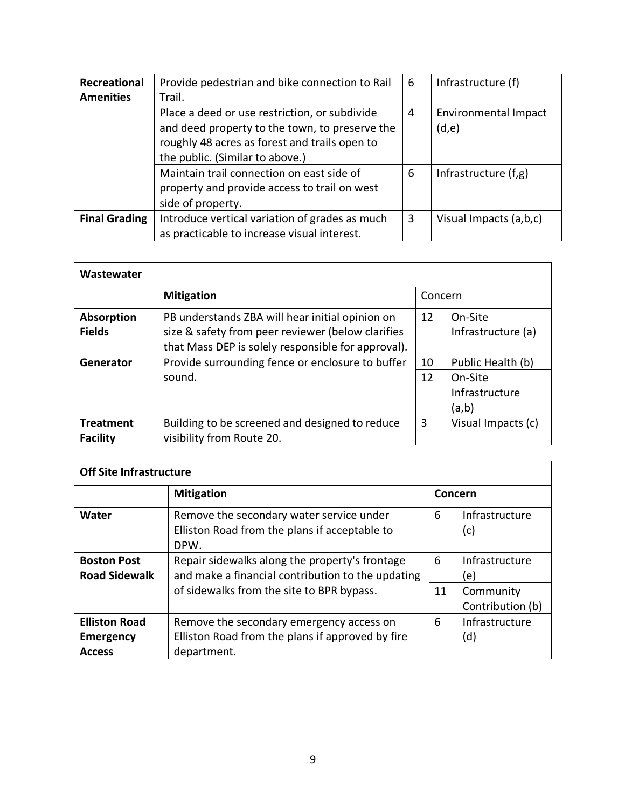| Recreational         | Provide pedestrian and bike connection to Rail                                                                                                                                      | 6 | Infrastructure (f)            |
|----------------------|-------------------------------------------------------------------------------------------------------------------------------------------------------------------------------------|---|-------------------------------|
| <b>Amenities</b>     | Trail.                                                                                                                                                                              |   |                               |
|                      | Place a deed or use restriction, or subdivide<br>and deed property to the town, to preserve the<br>roughly 48 acres as forest and trails open to<br>the public. (Similar to above.) | 4 | Environmental Impact<br>(d,e) |
|                      | Maintain trail connection on east side of<br>property and provide access to trail on west<br>side of property.                                                                      | 6 | Infrastructure (f,g)          |
| <b>Final Grading</b> | Introduce vertical variation of grades as much<br>as practicable to increase visual interest.                                                                                       | 3 | Visual Impacts (a,b,c)        |

| Wastewater        |                                                    |    |                    |  |
|-------------------|----------------------------------------------------|----|--------------------|--|
|                   | <b>Mitigation</b>                                  |    | Concern            |  |
| <b>Absorption</b> | PB understands ZBA will hear initial opinion on    | 12 | On-Site            |  |
| <b>Fields</b>     | size & safety from peer reviewer (below clarifies  |    | Infrastructure (a) |  |
|                   | that Mass DEP is solely responsible for approval). |    |                    |  |
| Generator         | Provide surrounding fence or enclosure to buffer   | 10 | Public Health (b)  |  |
|                   | sound.                                             | 12 | On-Site            |  |
|                   |                                                    |    | Infrastructure     |  |
|                   |                                                    |    | (a,b)              |  |
| <b>Treatment</b>  | Building to be screened and designed to reduce     | 3  | Visual Impacts (c) |  |
| <b>Facility</b>   | visibility from Route 20.                          |    |                    |  |

| <b>Off Site Infrastructure</b>                            |                                                                                                                                                  |         |                                                        |  |
|-----------------------------------------------------------|--------------------------------------------------------------------------------------------------------------------------------------------------|---------|--------------------------------------------------------|--|
|                                                           | <b>Mitigation</b>                                                                                                                                | Concern |                                                        |  |
| Water                                                     | Remove the secondary water service under<br>Elliston Road from the plans if acceptable to<br>DPW.                                                | 6       | Infrastructure<br>(c)                                  |  |
| <b>Boston Post</b><br><b>Road Sidewalk</b>                | Repair sidewalks along the property's frontage<br>and make a financial contribution to the updating<br>of sidewalks from the site to BPR bypass. | 6<br>11 | Infrastructure<br>(e)<br>Community<br>Contribution (b) |  |
| <b>Elliston Road</b><br><b>Emergency</b><br><b>Access</b> | Remove the secondary emergency access on<br>Elliston Road from the plans if approved by fire<br>department.                                      | 6       | Infrastructure<br>(d)                                  |  |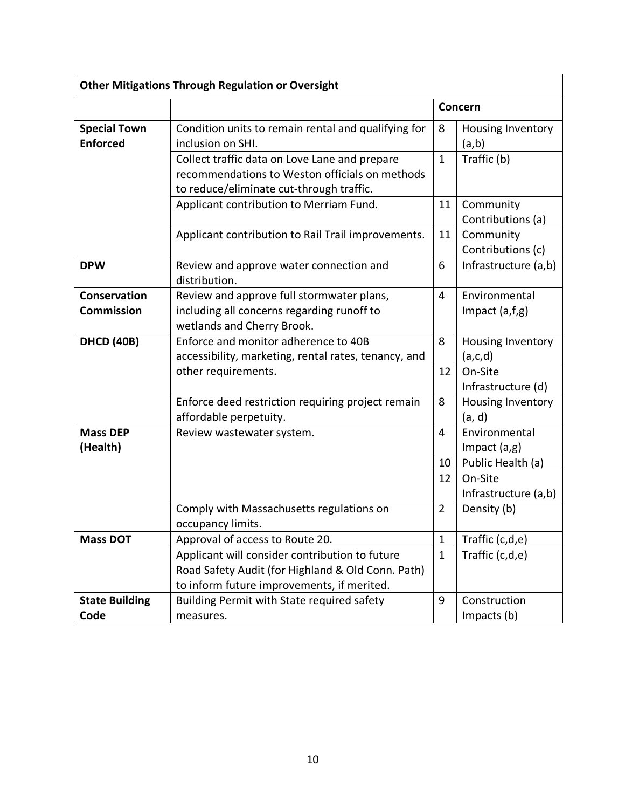| <b>Other Mitigations Through Regulation or Oversight</b> |                                                                                                                                                   |                  |                                 |  |
|----------------------------------------------------------|---------------------------------------------------------------------------------------------------------------------------------------------------|------------------|---------------------------------|--|
|                                                          |                                                                                                                                                   |                  | Concern                         |  |
| <b>Special Town</b><br><b>Enforced</b>                   | Condition units to remain rental and qualifying for<br>inclusion on SHI.                                                                          | 8                | Housing Inventory<br>(a,b)      |  |
|                                                          | Collect traffic data on Love Lane and prepare<br>recommendations to Weston officials on methods<br>to reduce/eliminate cut-through traffic.       | $\mathbf{1}$     | Traffic (b)                     |  |
|                                                          | Applicant contribution to Merriam Fund.                                                                                                           | 11               | Community<br>Contributions (a)  |  |
|                                                          | Applicant contribution to Rail Trail improvements.                                                                                                | 11               | Community<br>Contributions (c)  |  |
| <b>DPW</b>                                               | Review and approve water connection and<br>distribution.                                                                                          | 6                | Infrastructure (a,b)            |  |
| Conservation                                             | Review and approve full stormwater plans,                                                                                                         | 4                | Environmental                   |  |
| <b>Commission</b>                                        | including all concerns regarding runoff to<br>wetlands and Cherry Brook.                                                                          |                  | Impact $(a,f,g)$                |  |
| <b>DHCD (40B)</b>                                        | Enforce and monitor adherence to 40B<br>accessibility, marketing, rental rates, tenancy, and                                                      | 8                | Housing Inventory<br>(a, c, d)  |  |
|                                                          | other requirements.                                                                                                                               | 12               | On-Site<br>Infrastructure (d)   |  |
|                                                          | Enforce deed restriction requiring project remain<br>affordable perpetuity.                                                                       | 8                | Housing Inventory<br>(a, d)     |  |
| <b>Mass DEP</b><br>(Health)                              | Review wastewater system.                                                                                                                         | 4                | Environmental<br>Impact $(a,g)$ |  |
|                                                          |                                                                                                                                                   | 10               | Public Health (a)               |  |
|                                                          |                                                                                                                                                   | 12               | On-Site<br>Infrastructure (a,b) |  |
|                                                          | Comply with Massachusetts regulations on<br>occupancy limits.                                                                                     | $\overline{2}$   | Density (b)                     |  |
| <b>Mass DOT</b>                                          | Approval of access to Route 20.                                                                                                                   | $\mathbf{1}$     | Traffic (c,d,e)                 |  |
|                                                          | Applicant will consider contribution to future<br>Road Safety Audit (for Highland & Old Conn. Path)<br>to inform future improvements, if merited. | $\mathbf{1}$     | Traffic (c,d,e)                 |  |
| <b>State Building</b><br>Code                            | Building Permit with State required safety<br>measures.                                                                                           | $\boldsymbol{9}$ | Construction<br>Impacts (b)     |  |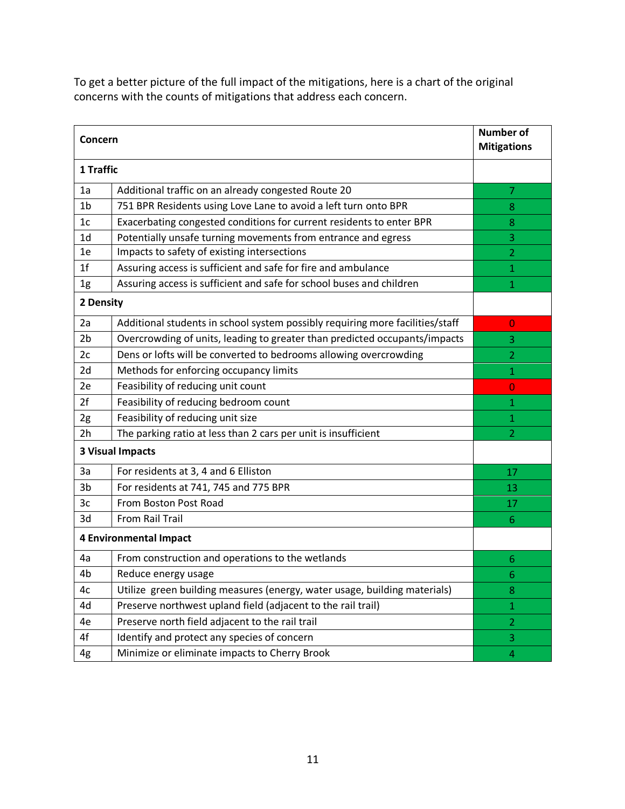To get a better picture of the full impact of the mitigations, here is a chart of the original concerns with the counts of mitigations that address each concern.

| Concern                 |                                                                               | <b>Number of</b><br><b>Mitigations</b> |
|-------------------------|-------------------------------------------------------------------------------|----------------------------------------|
| 1 Traffic               |                                                                               |                                        |
| 1a                      | Additional traffic on an already congested Route 20                           | 7                                      |
| 1b                      | 751 BPR Residents using Love Lane to avoid a left turn onto BPR               | 8                                      |
| 1 <sub>c</sub>          | Exacerbating congested conditions for current residents to enter BPR          | 8                                      |
| 1 <sub>d</sub>          | Potentially unsafe turning movements from entrance and egress                 | 3                                      |
| 1e                      | Impacts to safety of existing intersections                                   | $\overline{2}$                         |
| 1 <sup>f</sup>          | Assuring access is sufficient and safe for fire and ambulance                 | 1                                      |
| 1g                      | Assuring access is sufficient and safe for school buses and children          | $\mathbf 1$                            |
| 2 Density               |                                                                               |                                        |
| 2a                      | Additional students in school system possibly requiring more facilities/staff | $\overline{0}$                         |
| 2 <sub>b</sub>          | Overcrowding of units, leading to greater than predicted occupants/impacts    | 3                                      |
| 2c                      | Dens or lofts will be converted to bedrooms allowing overcrowding             | $\overline{2}$                         |
| 2d                      | Methods for enforcing occupancy limits                                        | 1                                      |
| 2e                      | Feasibility of reducing unit count                                            | $\overline{0}$                         |
| 2f                      | Feasibility of reducing bedroom count                                         | 1                                      |
| 2g                      | Feasibility of reducing unit size                                             | $\mathbf{1}$                           |
| 2h                      | The parking ratio at less than 2 cars per unit is insufficient                | $\overline{2}$                         |
| <b>3 Visual Impacts</b> |                                                                               |                                        |
| 3a                      | For residents at 3, 4 and 6 Elliston                                          | 17                                     |
| 3 <sub>b</sub>          | For residents at 741, 745 and 775 BPR                                         | 13                                     |
| 3c                      | From Boston Post Road                                                         | 17                                     |
| 3d                      | From Rail Trail                                                               | 6                                      |
|                         | <b>4 Environmental Impact</b>                                                 |                                        |
| 4a                      | From construction and operations to the wetlands                              | 6                                      |
| 4b                      | Reduce energy usage                                                           | 6                                      |
| 4c                      | Utilize green building measures (energy, water usage, building materials)     | 8                                      |
| 4d                      | Preserve northwest upland field (adjacent to the rail trail)                  | $\mathbf{1}$                           |
| 4e                      | Preserve north field adjacent to the rail trail                               | $\overline{2}$                         |
| 4f                      | Identify and protect any species of concern                                   | 3                                      |
| 4g                      | Minimize or eliminate impacts to Cherry Brook                                 | 4                                      |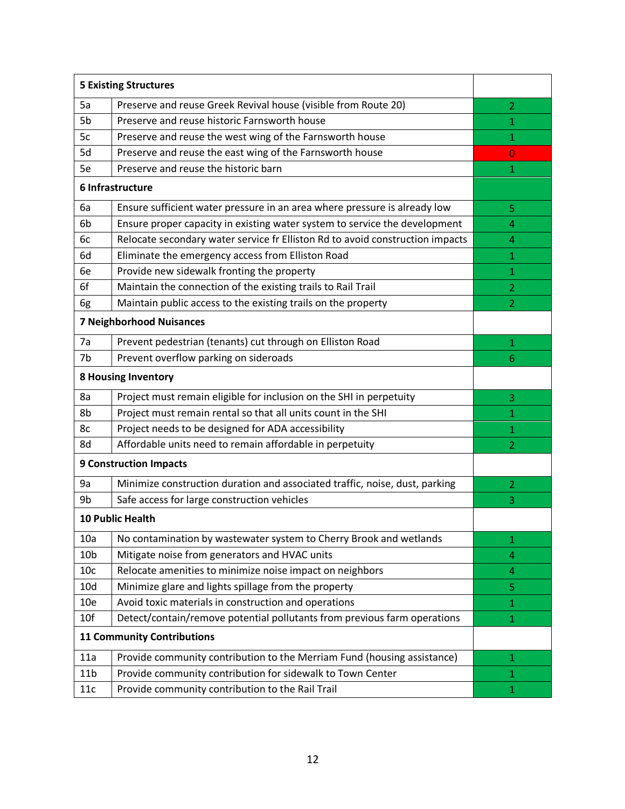| <b>5 Existing Structures</b>      |                                                                               |                |
|-----------------------------------|-------------------------------------------------------------------------------|----------------|
| 5a                                | Preserve and reuse Greek Revival house (visible from Route 20)                | $\overline{2}$ |
| 5b                                | Preserve and reuse historic Farnsworth house                                  | $\mathbf{1}$   |
| 5c                                | Preserve and reuse the west wing of the Farnsworth house                      | 1              |
| 5d                                | Preserve and reuse the east wing of the Farnsworth house                      | $\overline{0}$ |
| 5e                                | Preserve and reuse the historic barn                                          | 1              |
|                                   | 6 Infrastructure                                                              |                |
| 6a                                | Ensure sufficient water pressure in an area where pressure is already low     | 5              |
| 6b                                | Ensure proper capacity in existing water system to service the development    | 4              |
| 6c                                | Relocate secondary water service fr Elliston Rd to avoid construction impacts | 4              |
| 6d                                | Eliminate the emergency access from Elliston Road                             | 1              |
| 6e                                | Provide new sidewalk fronting the property                                    | 1              |
| 6f                                | Maintain the connection of the existing trails to Rail Trail                  | $\overline{2}$ |
| 6g                                | Maintain public access to the existing trails on the property                 | $\overline{2}$ |
|                                   | <b>7 Neighborhood Nuisances</b>                                               |                |
| 7a                                | Prevent pedestrian (tenants) cut through on Elliston Road                     | $\mathbf{1}$   |
| 7b                                | Prevent overflow parking on sideroads                                         | 6              |
| <b>8 Housing Inventory</b>        |                                                                               |                |
| 8a                                | Project must remain eligible for inclusion on the SHI in perpetuity           | 3              |
| 8b                                | Project must remain rental so that all units count in the SHI                 | 1              |
| 8c                                | Project needs to be designed for ADA accessibility                            | 1              |
| 8d                                | Affordable units need to remain affordable in perpetuity                      | $\overline{2}$ |
|                                   | <b>9 Construction Impacts</b>                                                 |                |
| 9a                                | Minimize construction duration and associated traffic, noise, dust, parking   | $\overline{2}$ |
| 9b                                | Safe access for large construction vehicles                                   | 3              |
|                                   | <b>10 Public Health</b>                                                       |                |
| 10a                               | No contamination by wastewater system to Cherry Brook and wetlands            | 1              |
| 10 <sub>b</sub>                   | Mitigate noise from generators and HVAC units                                 | 4              |
| 10 <sub>c</sub>                   | Relocate amenities to minimize noise impact on neighbors                      | 4              |
| 10d                               | Minimize glare and lights spillage from the property                          | 5              |
| 10 <sub>e</sub>                   | Avoid toxic materials in construction and operations                          | 1              |
| 10f                               | Detect/contain/remove potential pollutants from previous farm operations      | $\mathbf{1}$   |
| <b>11 Community Contributions</b> |                                                                               |                |
| 11a                               | Provide community contribution to the Merriam Fund (housing assistance)       | 1              |
| 11 <sub>b</sub>                   | Provide community contribution for sidewalk to Town Center                    | $\mathbf{1}$   |
| 11c                               | Provide community contribution to the Rail Trail                              | 1              |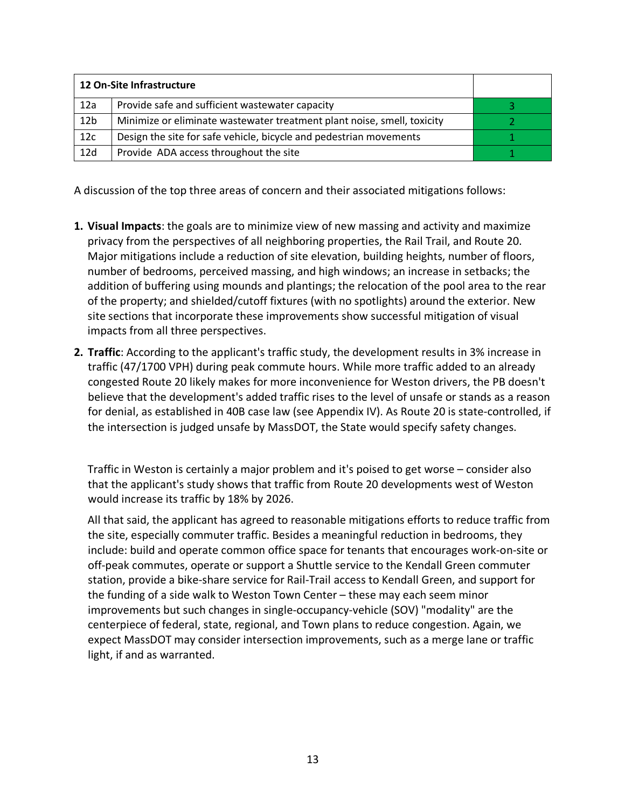|                 | 12 On-Site Infrastructure                                               |  |
|-----------------|-------------------------------------------------------------------------|--|
| 12a             | Provide safe and sufficient wastewater capacity                         |  |
| 12 <sub>b</sub> | Minimize or eliminate wastewater treatment plant noise, smell, toxicity |  |
| 12c             | Design the site for safe vehicle, bicycle and pedestrian movements      |  |
| 12d             | Provide ADA access throughout the site                                  |  |

A discussion of the top three areas of concern and their associated mitigations follows:

- **1. Visual Impacts**: the goals are to minimize view of new massing and activity and maximize privacy from the perspectives of all neighboring properties, the Rail Trail, and Route 20. Major mitigations include a reduction of site elevation, building heights, number of floors, number of bedrooms, perceived massing, and high windows; an increase in setbacks; the addition of buffering using mounds and plantings; the relocation of the pool area to the rear of the property; and shielded/cutoff fixtures (with no spotlights) around the exterior. New site sections that incorporate these improvements show successful mitigation of visual impacts from all three perspectives.
- **2. Traffic**: According to the applicant's traffic study, the development results in 3% increase in traffic (47/1700 VPH) during peak commute hours. While more traffic added to an already congested Route 20 likely makes for more inconvenience for Weston drivers, the PB doesn't believe that the development's added traffic rises to the level of unsafe or stands as a reason for denial, as established in 40B case law (see Appendix IV). As Route 20 is state-controlled, if the intersection is judged unsafe by MassDOT, the State would specify safety changes.

Traffic in Weston is certainly a major problem and it's poised to get worse – consider also that the applicant's study shows that traffic from Route 20 developments west of Weston would increase its traffic by 18% by 2026.

All that said, the applicant has agreed to reasonable mitigations efforts to reduce traffic from the site, especially commuter traffic. Besides a meaningful reduction in bedrooms, they include: build and operate common office space for tenants that encourages work-on-site or off-peak commutes, operate or support a Shuttle service to the Kendall Green commuter station, provide a bike-share service for Rail-Trail access to Kendall Green, and support for the funding of a side walk to Weston Town Center – these may each seem minor improvements but such changes in single-occupancy-vehicle (SOV) "modality" are the centerpiece of federal, state, regional, and Town plans to reduce congestion. Again, we expect MassDOT may consider intersection improvements, such as a merge lane or traffic light, if and as warranted.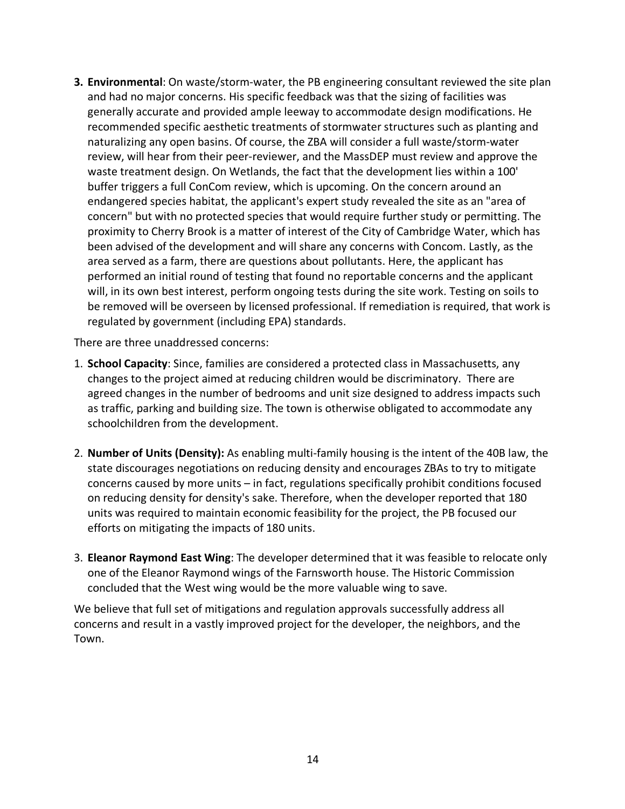**3. Environmental**: On waste/storm-water, the PB engineering consultant reviewed the site plan and had no major concerns. His specific feedback was that the sizing of facilities was generally accurate and provided ample leeway to accommodate design modifications. He recommended specific aesthetic treatments of stormwater structures such as planting and naturalizing any open basins. Of course, the ZBA will consider a full waste/storm-water review, will hear from their peer-reviewer, and the MassDEP must review and approve the waste treatment design. On Wetlands, the fact that the development lies within a 100' buffer triggers a full ConCom review, which is upcoming. On the concern around an endangered species habitat, the applicant's expert study revealed the site as an "area of concern" but with no protected species that would require further study or permitting. The proximity to Cherry Brook is a matter of interest of the City of Cambridge Water, which has been advised of the development and will share any concerns with Concom. Lastly, as the area served as a farm, there are questions about pollutants. Here, the applicant has performed an initial round of testing that found no reportable concerns and the applicant will, in its own best interest, perform ongoing tests during the site work. Testing on soils to be removed will be overseen by licensed professional. If remediation is required, that work is regulated by government (including EPA) standards.

There are three unaddressed concerns:

- 1. **School Capacity**: Since, families are considered a protected class in Massachusetts, any changes to the project aimed at reducing children would be discriminatory. There are agreed changes in the number of bedrooms and unit size designed to address impacts such as traffic, parking and building size. The town is otherwise obligated to accommodate any schoolchildren from the development.
- 2. **Number of Units (Density):** As enabling multi-family housing is the intent of the 40B law, the state discourages negotiations on reducing density and encourages ZBAs to try to mitigate concerns caused by more units – in fact, regulations specifically prohibit conditions focused on reducing density for density's sake. Therefore, when the developer reported that 180 units was required to maintain economic feasibility for the project, the PB focused our efforts on mitigating the impacts of 180 units.
- 3. **Eleanor Raymond East Wing**: The developer determined that it was feasible to relocate only one of the Eleanor Raymond wings of the Farnsworth house. The Historic Commission concluded that the West wing would be the more valuable wing to save.

We believe that full set of mitigations and regulation approvals successfully address all concerns and result in a vastly improved project for the developer, the neighbors, and the Town.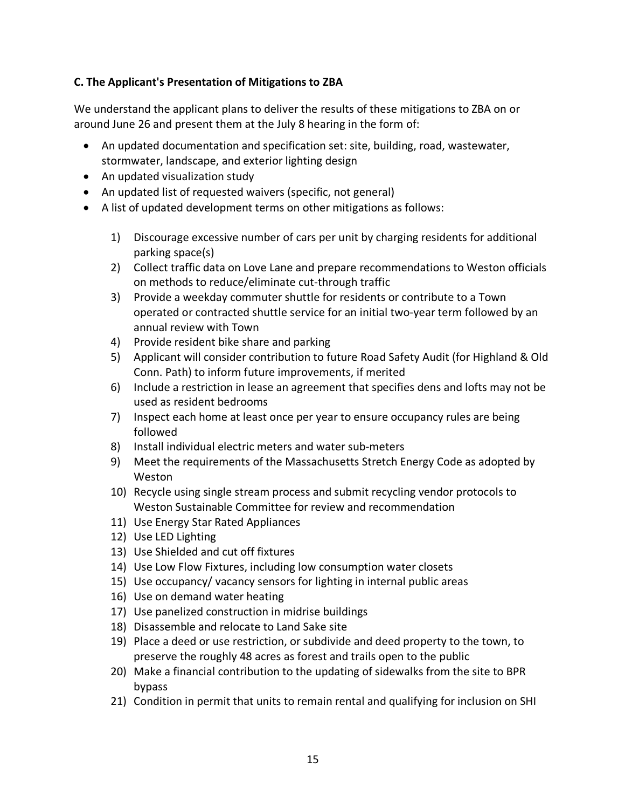## **C. The Applicant's Presentation of Mitigations to ZBA**

We understand the applicant plans to deliver the results of these mitigations to ZBA on or around June 26 and present them at the July 8 hearing in the form of:

- An updated documentation and specification set: site, building, road, wastewater, stormwater, landscape, and exterior lighting design
- An updated visualization study
- An updated list of requested waivers (specific, not general)
- A list of updated development terms on other mitigations as follows:
	- 1) Discourage excessive number of cars per unit by charging residents for additional parking space(s)
	- 2) Collect traffic data on Love Lane and prepare recommendations to Weston officials on methods to reduce/eliminate cut-through traffic
	- 3) Provide a weekday commuter shuttle for residents or contribute to a Town operated or contracted shuttle service for an initial two-year term followed by an annual review with Town
	- 4) Provide resident bike share and parking
	- 5) Applicant will consider contribution to future Road Safety Audit (for Highland & Old Conn. Path) to inform future improvements, if merited
	- 6) Include a restriction in lease an agreement that specifies dens and lofts may not be used as resident bedrooms
	- 7) Inspect each home at least once per year to ensure occupancy rules are being followed
	- 8) Install individual electric meters and water sub-meters
	- 9) Meet the requirements of the Massachusetts Stretch Energy Code as adopted by Weston
	- 10) Recycle using single stream process and submit recycling vendor protocols to Weston Sustainable Committee for review and recommendation
	- 11) Use Energy Star Rated Appliances
	- 12) Use LED Lighting
	- 13) Use Shielded and cut off fixtures
	- 14) Use Low Flow Fixtures, including low consumption water closets
	- 15) Use occupancy/ vacancy sensors for lighting in internal public areas
	- 16) Use on demand water heating
	- 17) Use panelized construction in midrise buildings
	- 18) Disassemble and relocate to Land Sake site
	- 19) Place a deed or use restriction, or subdivide and deed property to the town, to preserve the roughly 48 acres as forest and trails open to the public
	- 20) Make a financial contribution to the updating of sidewalks from the site to BPR bypass
	- 21) Condition in permit that units to remain rental and qualifying for inclusion on SHI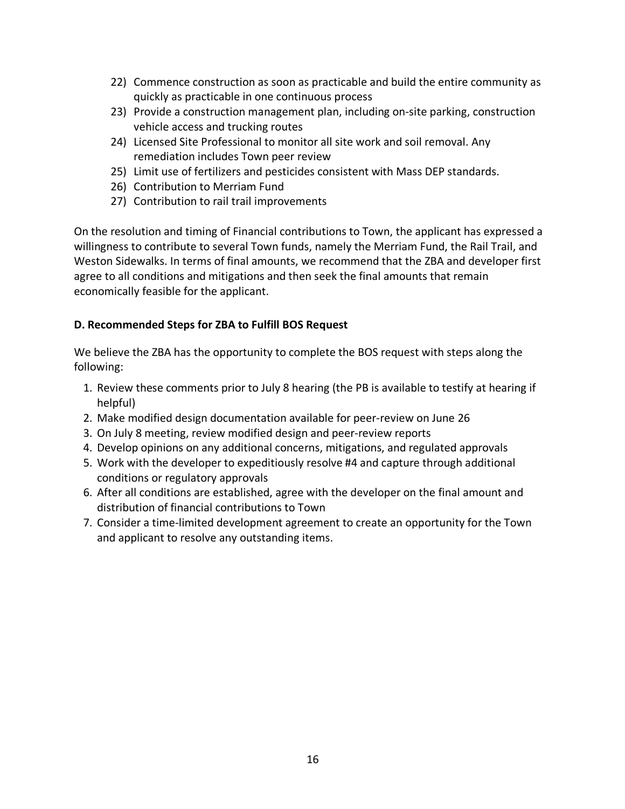- 22) Commence construction as soon as practicable and build the entire community as quickly as practicable in one continuous process
- 23) Provide a construction management plan, including on-site parking, construction vehicle access and trucking routes
- 24) Licensed Site Professional to monitor all site work and soil removal. Any remediation includes Town peer review
- 25) Limit use of fertilizers and pesticides consistent with Mass DEP standards.
- 26) Contribution to Merriam Fund
- 27) Contribution to rail trail improvements

On the resolution and timing of Financial contributions to Town, the applicant has expressed a willingness to contribute to several Town funds, namely the Merriam Fund, the Rail Trail, and Weston Sidewalks. In terms of final amounts, we recommend that the ZBA and developer first agree to all conditions and mitigations and then seek the final amounts that remain economically feasible for the applicant.

# **D. Recommended Steps for ZBA to Fulfill BOS Request**

We believe the ZBA has the opportunity to complete the BOS request with steps along the following:

- 1. Review these comments prior to July 8 hearing (the PB is available to testify at hearing if helpful)
- 2. Make modified design documentation available for peer-review on June 26
- 3. On July 8 meeting, review modified design and peer-review reports
- 4. Develop opinions on any additional concerns, mitigations, and regulated approvals
- 5. Work with the developer to expeditiously resolve #4 and capture through additional conditions or regulatory approvals
- 6. After all conditions are established, agree with the developer on the final amount and distribution of financial contributions to Town
- 7. Consider a time-limited development agreement to create an opportunity for the Town and applicant to resolve any outstanding items.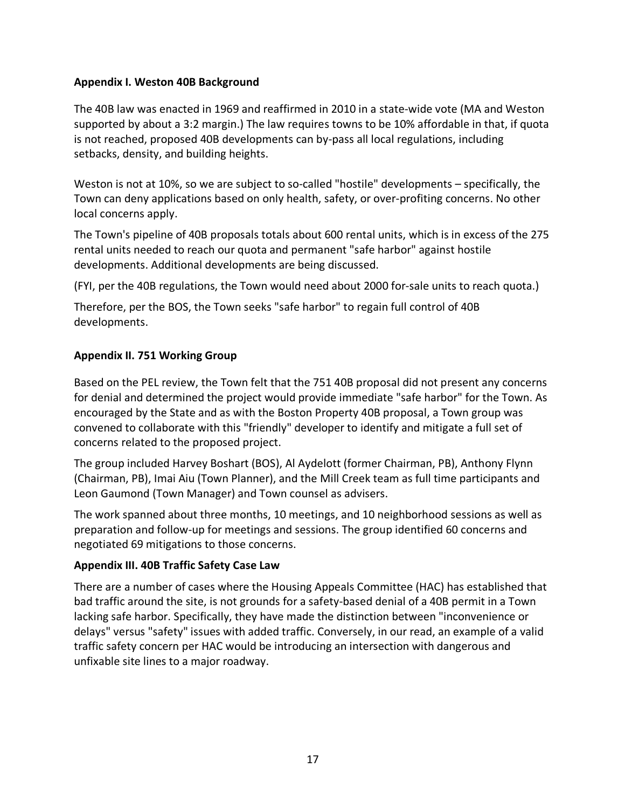#### **Appendix I. Weston 40B Background**

The 40B law was enacted in 1969 and reaffirmed in 2010 in a state-wide vote (MA and Weston supported by about a 3:2 margin.) The law requires towns to be 10% affordable in that, if quota is not reached, proposed 40B developments can by-pass all local regulations, including setbacks, density, and building heights.

Weston is not at 10%, so we are subject to so-called "hostile" developments – specifically, the Town can deny applications based on only health, safety, or over-profiting concerns. No other local concerns apply.

The Town's pipeline of 40B proposals totals about 600 rental units, which is in excess of the 275 rental units needed to reach our quota and permanent "safe harbor" against hostile developments. Additional developments are being discussed.

(FYI, per the 40B regulations, the Town would need about 2000 for-sale units to reach quota.)

Therefore, per the BOS, the Town seeks "safe harbor" to regain full control of 40B developments.

#### **Appendix II. 751 Working Group**

Based on the PEL review, the Town felt that the 751 40B proposal did not present any concerns for denial and determined the project would provide immediate "safe harbor" for the Town. As encouraged by the State and as with the Boston Property 40B proposal, a Town group was convened to collaborate with this "friendly" developer to identify and mitigate a full set of concerns related to the proposed project.

The group included Harvey Boshart (BOS), Al Aydelott (former Chairman, PB), Anthony Flynn (Chairman, PB), Imai Aiu (Town Planner), and the Mill Creek team as full time participants and Leon Gaumond (Town Manager) and Town counsel as advisers.

The work spanned about three months, 10 meetings, and 10 neighborhood sessions as well as preparation and follow-up for meetings and sessions. The group identified 60 concerns and negotiated 69 mitigations to those concerns.

## **Appendix III. 40B Traffic Safety Case Law**

There are a number of cases where the Housing Appeals Committee (HAC) has established that bad traffic around the site, is not grounds for a safety-based denial of a 40B permit in a Town lacking safe harbor. Specifically, they have made the distinction between "inconvenience or delays" versus "safety" issues with added traffic. Conversely, in our read, an example of a valid traffic safety concern per HAC would be introducing an intersection with dangerous and unfixable site lines to a major roadway.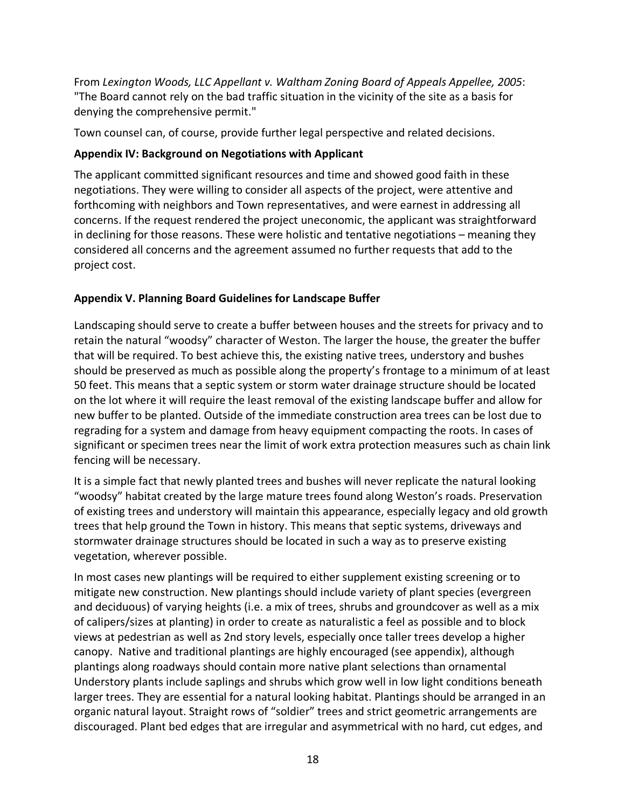From *Lexington Woods, LLC Appellant v. Waltham Zoning Board of Appeals Appellee, 2005*: "The Board cannot rely on the bad traffic situation in the vicinity of the site as a basis for denying the comprehensive permit."

Town counsel can, of course, provide further legal perspective and related decisions.

## **Appendix IV: Background on Negotiations with Applicant**

The applicant committed significant resources and time and showed good faith in these negotiations. They were willing to consider all aspects of the project, were attentive and forthcoming with neighbors and Town representatives, and were earnest in addressing all concerns. If the request rendered the project uneconomic, the applicant was straightforward in declining for those reasons. These were holistic and tentative negotiations – meaning they considered all concerns and the agreement assumed no further requests that add to the project cost.

# **Appendix V. Planning Board Guidelines for Landscape Buffer**

Landscaping should serve to create a buffer between houses and the streets for privacy and to retain the natural "woodsy" character of Weston. The larger the house, the greater the buffer that will be required. To best achieve this, the existing native trees, understory and bushes should be preserved as much as possible along the property's frontage to a minimum of at least 50 feet. This means that a septic system or storm water drainage structure should be located on the lot where it will require the least removal of the existing landscape buffer and allow for new buffer to be planted. Outside of the immediate construction area trees can be lost due to regrading for a system and damage from heavy equipment compacting the roots. In cases of significant or specimen trees near the limit of work extra protection measures such as chain link fencing will be necessary.

It is a simple fact that newly planted trees and bushes will never replicate the natural looking "woodsy" habitat created by the large mature trees found along Weston's roads. Preservation of existing trees and understory will maintain this appearance, especially legacy and old growth trees that help ground the Town in history. This means that septic systems, driveways and stormwater drainage structures should be located in such a way as to preserve existing vegetation, wherever possible.

In most cases new plantings will be required to either supplement existing screening or to mitigate new construction. New plantings should include variety of plant species (evergreen and deciduous) of varying heights (i.e. a mix of trees, shrubs and groundcover as well as a mix of calipers/sizes at planting) in order to create as naturalistic a feel as possible and to block views at pedestrian as well as 2nd story levels, especially once taller trees develop a higher canopy. Native and traditional plantings are highly encouraged (see appendix), although plantings along roadways should contain more native plant selections than ornamental Understory plants include saplings and shrubs which grow well in low light conditions beneath larger trees. They are essential for a natural looking habitat. Plantings should be arranged in an organic natural layout. Straight rows of "soldier" trees and strict geometric arrangements are discouraged. Plant bed edges that are irregular and asymmetrical with no hard, cut edges, and